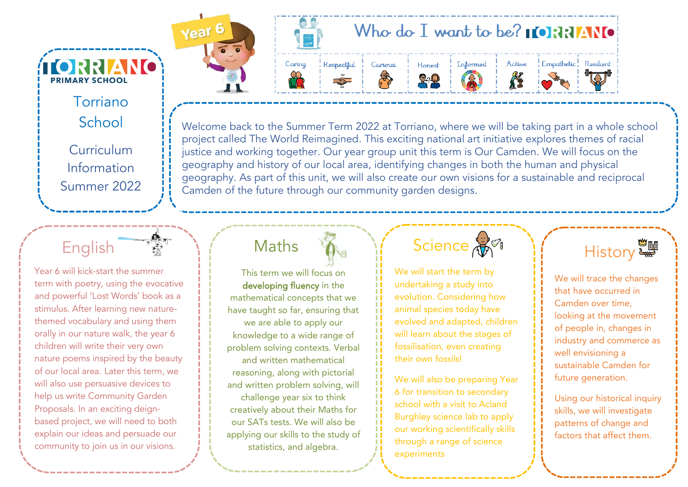Torriano School Curriculum Information Summer 2022

**Í ORRIANO** 

**PRIMARY SCHOOL** 

## English

Year 6 will kick-start the summer term with poetry, using the evocative and powerful 'Lost Words' book as a stimulus. After learning new naturethemed vocabulary and using them orally in our nature walk, the year 6 children will write their very own nature poems inspired by the beauty of our local area. Later this term, we will also use persuasive devices to help us write Community Garden Proposals. In an exciting deignbased project, we will need to both explain our ideas and persuade our community to join us in our visions.

# Who do I want to be?  $\blacksquare$   $\blacksquare$   $\blacksquare$   $\blacksquare$   $\blacksquare$



Year<sup>6</sup>

### Honest  $2.2$







Welcome back to the Summer Term 2022 at Torriano, where we will be taking part in a whole school project called The World Reimagined. This exciting national art initiative explores themes of racial justice and working together. Our year group unit this term is Our Camden. We will focus on the geography and history of our local area, identifying changes in both the human and physical geography. As part of this unit, we will also create our own visions for a sustainable and reciprocal Camden of the future through our community garden designs.

Curious

## Maths

This term we will focus on developing fluency in the mathematical concepts that we have taught so far, ensuring that we are able to apply our knowledge to a wide range of problem solving contexts. Verbal and written mathematical reasoning, along with pictorial and written problem solving, will challenge year six to think creatively about their Maths for our SATs tests. We will also be applying our skills to the study of statistics, and algebra.

# Science AM

We will start the term by undertaking a study into evolution. Considering how animal species today have evolved and adapted, children will learn about the stages of fossilisation, even creating their own fossils!

We will also be preparing Year 6 for transition to secondary school with a visit to Acland Burghley science lab to apply our working scientifically skills through a range of science experiments



We will trace the changes that have occurred in Camden over time, looking at the movement of people in, changes in industry and commerce as well envisioning a sustainable Camden for future generation.

Using our historical inquiry skills, we will investigate patterns of change and factors that affect them.